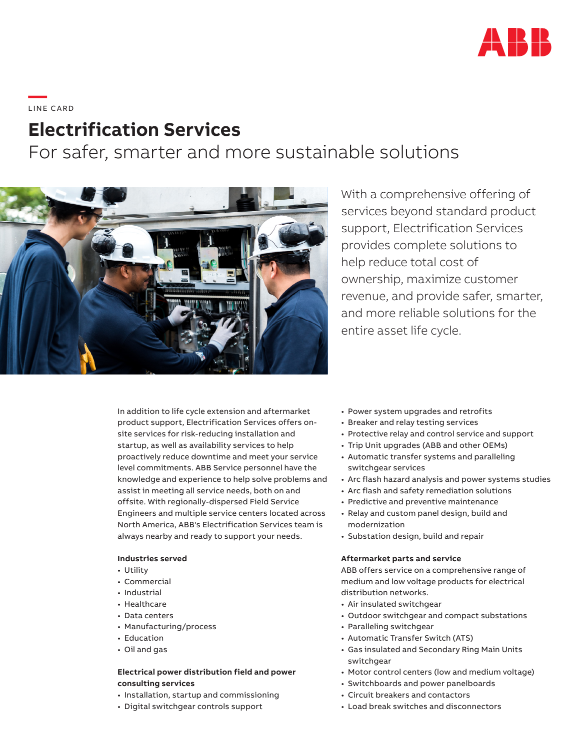

**—**  LI N E C A R D

# **Electrification Services**

For safer, smarter and more sustainable solutions



With a comprehensive offering of services beyond standard product support, Electrification Services provides complete solutions to help reduce total cost of ownership, maximize customer revenue, and provide safer, smarter, and more reliable solutions for the entire asset life cycle.

In addition to life cycle extension and aftermarket product support, Electrification Services offers onsite services for risk-reducing installation and startup, as well as availability services to help proactively reduce downtime and meet your service level commitments. ABB Service personnel have the knowledge and experience to help solve problems and assist in meeting all service needs, both on and offsite. With regionally-dispersed Field Service Engineers and multiple service centers located across North America, ABB's Electrification Services team is always nearby and ready to support your needs.

#### **Industries served**

- Utility
- Commercial
- Industrial
- Healthcare
- Data centers
- Manufacturing/process
- Education
- Oil and gas

# **Electrical power distribution field and power consulting services**

- Installation, startup and commissioning
- Digital switchgear controls support
- Power system upgrades and retrofits
- Breaker and relay testing services
- Protective relay and control service and support
- Trip Unit upgrades (ABB and other OEMs)
- Automatic transfer systems and paralleling switchgear services
- Arc flash hazard analysis and power systems studies
- Arc flash and safety remediation solutions
- Predictive and preventive maintenance
- Relay and custom panel design, build and modernization
- Substation design, build and repair

#### **Aftermarket parts and service**

ABB offers service on a comprehensive range of medium and low voltage products for electrical distribution networks.

- Air insulated switchgear
- Outdoor switchgear and compact substations
- Paralleling switchgear
- Automatic Transfer Switch (ATS)
- Gas insulated and Secondary Ring Main Units switchgear
- Motor control centers (low and medium voltage)
- Switchboards and power panelboards
- Circuit breakers and contactors
- Load break switches and disconnectors